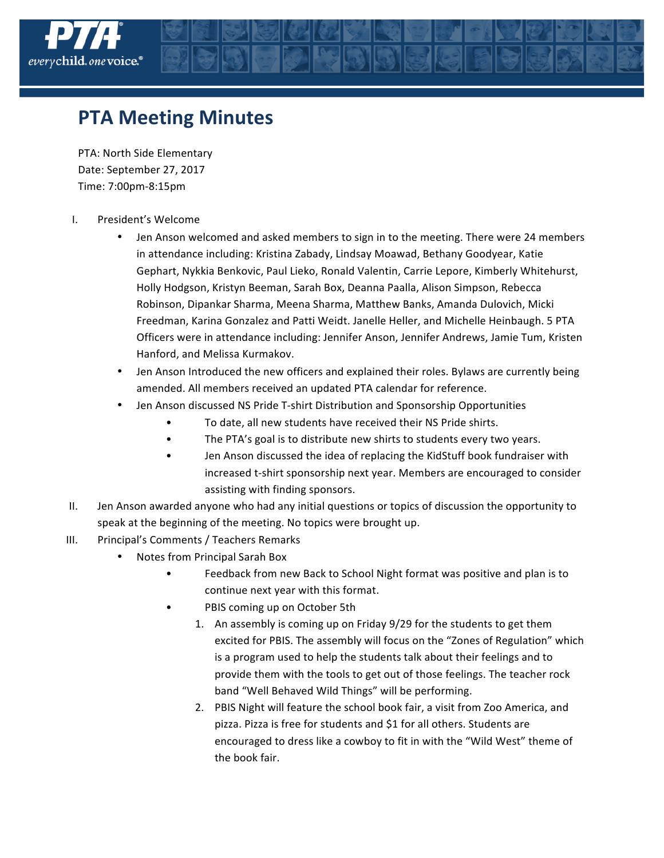

## **PTA Meeting Minutes**

PTA: North Side Elementary Date: September 27, 2017 Time: 7:00pm-8:15pm

- I. President's Welcome
	- Jen Anson welcomed and asked members to sign in to the meeting. There were 24 members in attendance including: Kristina Zabady, Lindsay Moawad, Bethany Goodyear, Katie Gephart, Nykkia Benkovic, Paul Lieko, Ronald Valentin, Carrie Lepore, Kimberly Whitehurst, Holly Hodgson, Kristyn Beeman, Sarah Box, Deanna Paalla, Alison Simpson, Rebecca Robinson, Dipankar Sharma, Meena Sharma, Matthew Banks, Amanda Dulovich, Micki Freedman, Karina Gonzalez and Patti Weidt. Janelle Heller, and Michelle Heinbaugh. 5 PTA Officers were in attendance including: Jennifer Anson, Jennifer Andrews, Jamie Tum, Kristen Hanford, and Melissa Kurmakov.
	- Jen Anson Introduced the new officers and explained their roles. Bylaws are currently being amended. All members received an updated PTA calendar for reference.
	- Jen Anson discussed NS Pride T-shirt Distribution and Sponsorship Opportunities
		- To date, all new students have received their NS Pride shirts.
		- The PTA's goal is to distribute new shirts to students every two years.
		- Jen Anson discussed the idea of replacing the KidStuff book fundraiser with increased t-shirt sponsorship next year. Members are encouraged to consider assisting with finding sponsors.
- II. Jen Anson awarded anyone who had any initial questions or topics of discussion the opportunity to speak at the beginning of the meeting. No topics were brought up.
- III. Principal's Comments / Teachers Remarks
	- Notes from Principal Sarah Box
		- Feedback from new Back to School Night format was positive and plan is to continue next year with this format.
		- PBIS coming up on October 5th
			- 1. An assembly is coming up on Friday 9/29 for the students to get them excited for PBIS. The assembly will focus on the "Zones of Regulation" which is a program used to help the students talk about their feelings and to provide them with the tools to get out of those feelings. The teacher rock band "Well Behaved Wild Things" will be performing.
			- 2. PBIS Night will feature the school book fair, a visit from Zoo America, and pizza. Pizza is free for students and \$1 for all others. Students are encouraged to dress like a cowboy to fit in with the "Wild West" theme of the book fair.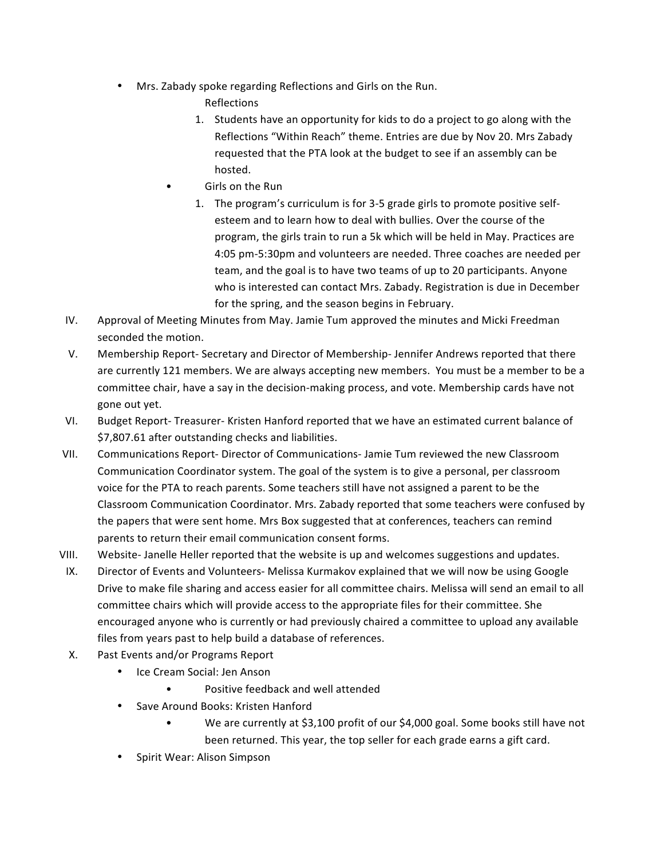- Mrs. Zabady spoke regarding Reflections and Girls on the Run.
	- Reflections
	- 1. Students have an opportunity for kids to do a project to go along with the Reflections "Within Reach" theme. Entries are due by Nov 20. Mrs Zabady requested that the PTA look at the budget to see if an assembly can be hosted.
	- Girls on the Run
		- 1. The program's curriculum is for 3-5 grade girls to promote positive selfesteem and to learn how to deal with bullies. Over the course of the program, the girls train to run a 5k which will be held in May. Practices are 4:05 pm-5:30pm and volunteers are needed. Three coaches are needed per team, and the goal is to have two teams of up to 20 participants. Anyone who is interested can contact Mrs. Zabady. Registration is due in December for the spring, and the season begins in February.
- IV. Approval of Meeting Minutes from May. Jamie Tum approved the minutes and Micki Freedman seconded the motion.
- V. Membership Report- Secretary and Director of Membership- Jennifer Andrews reported that there are currently 121 members. We are always accepting new members. You must be a member to be a committee chair, have a say in the decision-making process, and vote. Membership cards have not gone out yet.
- VI. Budget Report- Treasurer- Kristen Hanford reported that we have an estimated current balance of \$7,807.61 after outstanding checks and liabilities.
- VII. Communications Report- Director of Communications- Jamie Tum reviewed the new Classroom Communication Coordinator system. The goal of the system is to give a personal, per classroom voice for the PTA to reach parents. Some teachers still have not assigned a parent to be the Classroom Communication Coordinator. Mrs. Zabady reported that some teachers were confused by the papers that were sent home. Mrs Box suggested that at conferences, teachers can remind parents to return their email communication consent forms.
- VIII. Website- Janelle Heller reported that the website is up and welcomes suggestions and updates.
- IX. Director of Events and Volunteers- Melissa Kurmakov explained that we will now be using Google Drive to make file sharing and access easier for all committee chairs. Melissa will send an email to all committee chairs which will provide access to the appropriate files for their committee. She encouraged anyone who is currently or had previously chaired a committee to upload any available files from years past to help build a database of references.
- X. Past Events and/or Programs Report
	- Ice Cream Social: Jen Anson
		- Positive feedback and well attended
	- Save Around Books: Kristen Hanford
		- We are currently at \$3,100 profit of our \$4,000 goal. Some books still have not been returned. This year, the top seller for each grade earns a gift card.
	- Spirit Wear: Alison Simpson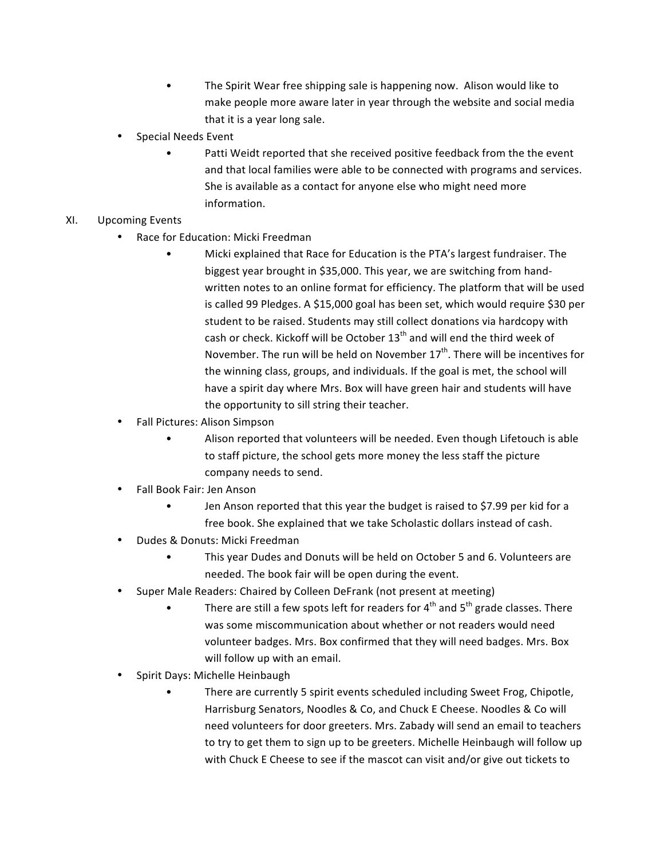- The Spirit Wear free shipping sale is happening now. Alison would like to make people more aware later in year through the website and social media that it is a year long sale.
- Special Needs Event
	- Patti Weidt reported that she received positive feedback from the the event and that local families were able to be connected with programs and services. She is available as a contact for anyone else who might need more information.
- XI. Upcoming Events
	- Race for Education: Micki Freedman
		- Micki explained that Race for Education is the PTA's largest fundraiser. The biggest year brought in \$35,000. This year, we are switching from handwritten notes to an online format for efficiency. The platform that will be used is called 99 Pledges. A \$15,000 goal has been set, which would require \$30 per student to be raised. Students may still collect donations via hardcopy with cash or check. Kickoff will be October  $13<sup>th</sup>$  and will end the third week of November. The run will be held on November  $17<sup>th</sup>$ . There will be incentives for the winning class, groups, and individuals. If the goal is met, the school will have a spirit day where Mrs. Box will have green hair and students will have the opportunity to sill string their teacher.
	- Fall Pictures: Alison Simpson
		- Alison reported that volunteers will be needed. Even though Lifetouch is able to staff picture, the school gets more money the less staff the picture company needs to send.
	- Fall Book Fair: Jen Anson
		- Jen Anson reported that this year the budget is raised to \$7.99 per kid for a free book. She explained that we take Scholastic dollars instead of cash.
	- Dudes & Donuts: Micki Freedman
		- This year Dudes and Donuts will be held on October 5 and 6. Volunteers are needed. The book fair will be open during the event.
	- Super Male Readers: Chaired by Colleen DeFrank (not present at meeting)
		- There are still a few spots left for readers for  $4<sup>th</sup>$  and  $5<sup>th</sup>$  grade classes. There was some miscommunication about whether or not readers would need volunteer badges. Mrs. Box confirmed that they will need badges. Mrs. Box will follow up with an email.
	- Spirit Days: Michelle Heinbaugh
		- There are currently 5 spirit events scheduled including Sweet Frog, Chipotle, Harrisburg Senators, Noodles & Co, and Chuck E Cheese. Noodles & Co will need volunteers for door greeters. Mrs. Zabady will send an email to teachers to try to get them to sign up to be greeters. Michelle Heinbaugh will follow up with Chuck E Cheese to see if the mascot can visit and/or give out tickets to